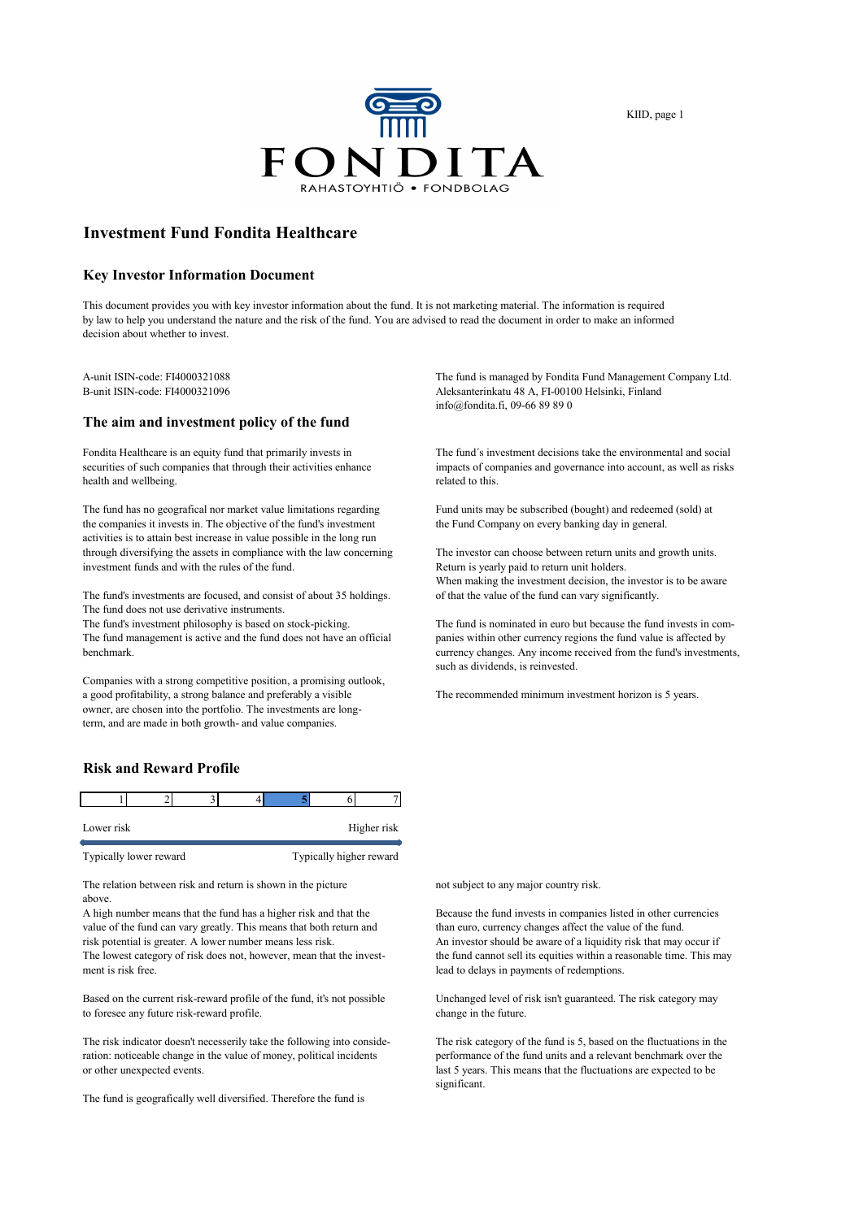

KIID, page 1

# **Investment Fund Fondita Healthcare**

#### **Key Investor Information Document**

This document provides you with key investor information about the fund. It is not marketing material. The information is required by law to help you understand the nature and the risk of the fund. You are advised to read the document in order to make an informed decision about whether to invest.

## **The aim and investment policy of the fund**

health and wellbeing. The related to this.

The fund has no geografical nor market value limitations regarding Fund units may be subscribed (bought) and redeemed (sold) at the companies it invests in. The objective of the fund's investment the Fund Company on every banking day in general. activities is to attain best increase in value possible in the long run through diversifying the assets in compliance with the law concerning The investor can choose between return units and growth units. investment funds and with the rules of the fund. Return is yearly paid to return unit holders.

The fund's investments are focused, and consist of about 35 holdings. of that the value of the fund can vary significantly. The fund does not use derivative instruments.

The fund management is active and the fund does not have an official panies within other currency regions the fund value is affected by benchmark. currency changes. Any income received from the fund's investments,

Companies with a strong competitive position, a promising outlook, a good profitability, a strong balance and preferably a visible The recommended minimum investment horizon is 5 years. owner, are chosen into the portfolio. The investments are longterm, and are made in both growth- and value companies.

## **Risk and Reward Profile**

|  |  | Higher risk |
|--|--|-------------|
|  |  |             |

Typically lower reward Typically higher reward

The relation between risk and return is shown in the picture not subject to any major country risk. above.

value of the fund can vary greatly. This means that both return and risk potential is greater. A lower number means less risk. An investor should be aware of a liquidity risk that may occur if<br>The lowest category of risk does not, however, mean that the invest-<br>the fund cannot sell its equ The lowest category of risk does not, however, mean that the investment is risk free. lead to delays in payments of redemptions.

Based on the current risk-reward profile of the fund, it's not possible Unchanged level of risk isn't guaranteed. The risk category may to foresee any future risk-reward profile. change in the future.

The risk indicator doesn't necesserily take the following into conside- The risk category of the fund is 5, based on the fluctuations in the ration: noticeable change in the value of money, political incidents performance of the fund units and a relevant benchmark over the or other unexpected events. last 5 years. This means that the fluctuations are expected to be

The fund is geografically well diversified. Therefore the fund is

A-unit ISIN-code: FI4000321088 The fund is managed by Fondita Fund Management Company Ltd.<br>B-unit ISIN-code: FI4000321096 The fund Management Company Ltd. Aleksanterinkatu 48 A, FI-00100 Helsinki, Finland info@fondita.fi, 09-66 89 89 0

Fondita Healthcare is an equity fund that primarily invests in The fund's investment decisions take the environmental and social securities of such companies that through their activities enhance impacts of companies and governance into account, as well as risks

When making the investment decision, the investor is to be aware

The fund's investment philosophy is based on stock-picking. The fund is nominated in euro but because the fund invests in comsuch as dividends, is reinvested.

A high number means that the fund has a higher risk and that the Because the fund invests in companies listed in other currencies value of the fund can vary greatly. This means that both return and than euro, currency chan

significant.